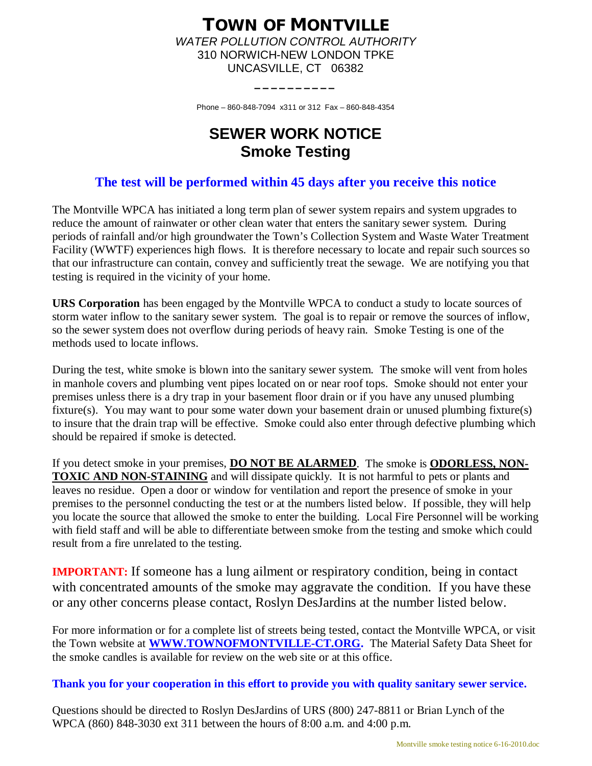## **TOWN OF MONTVILLE** *WATER POLLUTION CONTROL AUTHORITY* 310 NORWICH-NEW LONDON TPKE UNCASVILLE, CT 06382

Phone – 860-848-7094 x311 or 312 Fax – 860-848-4354

**\_\_\_\_\_\_\_\_\_\_**

# **SEWER WORK NOTICE Smoke Testing**

## **The test will be performed within 45 days after you receive this notice**

The Montville WPCA has initiated a long term plan of sewer system repairs and system upgrades to reduce the amount of rainwater or other clean water that enters the sanitary sewer system. During periods of rainfall and/or high groundwater the Town's Collection System and Waste Water Treatment Facility (WWTF) experiences high flows. It is therefore necessary to locate and repair such sources so that our infrastructure can contain, convey and sufficiently treat the sewage. We are notifying you that testing is required in the vicinity of your home.

**URS Corporation** has been engaged by the Montville WPCA to conduct a study to locate sources of storm water inflow to the sanitary sewer system. The goal is to repair or remove the sources of inflow, so the sewer system does not overflow during periods of heavy rain. Smoke Testing is one of the methods used to locate inflows.

During the test, white smoke is blown into the sanitary sewer system. The smoke will vent from holes in manhole covers and plumbing vent pipes located on or near roof tops. Smoke should not enter your premises unless there is a dry trap in your basement floor drain or if you have any unused plumbing fixture(s). You may want to pour some water down your basement drain or unused plumbing fixture(s) to insure that the drain trap will be effective. Smoke could also enter through defective plumbing which should be repaired if smoke is detected.

If you detect smoke in your premises, **DO NOT BE ALARMED**. The smoke is **ODORLESS, NON-TOXIC AND NON-STAINING** and will dissipate quickly. It is not harmful to pets or plants and leaves no residue. Open a door or window for ventilation and report the presence of smoke in your premises to the personnel conducting the test or at the numbers listed below. If possible, they will help you locate the source that allowed the smoke to enter the building. Local Fire Personnel will be working with field staff and will be able to differentiate between smoke from the testing and smoke which could result from a fire unrelated to the testing.

**IMPORTANT:** If someone has a lung ailment or respiratory condition, being in contact with concentrated amounts of the smoke may aggravate the condition. If you have these or any other concerns please contact, Roslyn DesJardins at the number listed below.

For more information or for a complete list of streets being tested, contact the Montville WPCA, or visit the Town website at **[WWW.TOWNOFMONTVILLE-CT.ORG.](http://WWW.TOWNOFMONTVILLE-CT.ORG./)** The Material Safety Data Sheet for the smoke candles is available for review on the web site or at this office.

**Thank you for your cooperation in this effort to provide you with quality sanitary sewer service.**

Questions should be directed to Roslyn DesJardins of URS (800) 247-8811 or Brian Lynch of the WPCA (860) 848-3030 ext 311 between the hours of 8:00 a.m. and 4:00 p.m.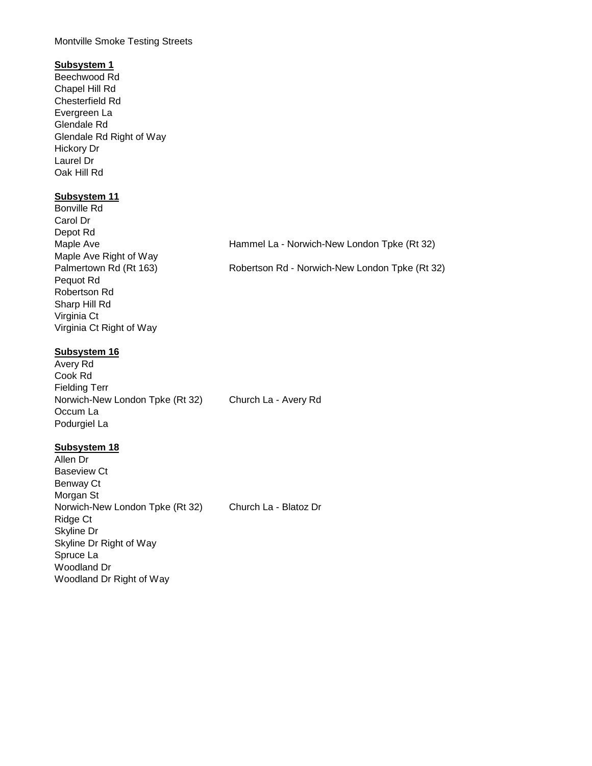#### Montville Smoke Testing Streets

### **Subsystem 1**

Beechwood Rd Chapel Hill Rd Chesterfield Rd Evergreen La Glendale Rd Glendale Rd Right of Way Hickory Dr Laurel Dr Oak Hill Rd

#### **Subsystem 11**

| Hammel La - Norwich-New London Tpke (Rt 32) |                                                |
|---------------------------------------------|------------------------------------------------|
|                                             | Robertson Rd - Norwich-New London Tpke (Rt 32) |
|                                             |                                                |
|                                             |                                                |

#### **Subsystem 16**

Avery Rd Cook Rd Fielding Terr Norwich-New London Tpke (Rt 32) Church La - Avery Rd Occum La Podurgiel La

#### **Subsystem 18**

Allen Dr Baseview Ct Benway Ct Morgan St Norwich-New London Tpke (Rt 32) Church La - Blatoz Dr Ridge Ct Skyline Dr Skyline Dr Right of Way Spruce La Woodland Dr Woodland Dr Right of Way